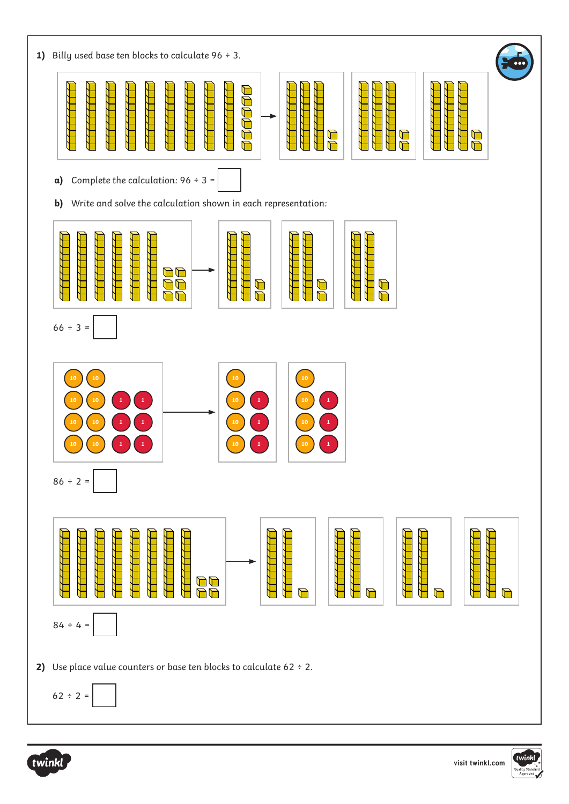



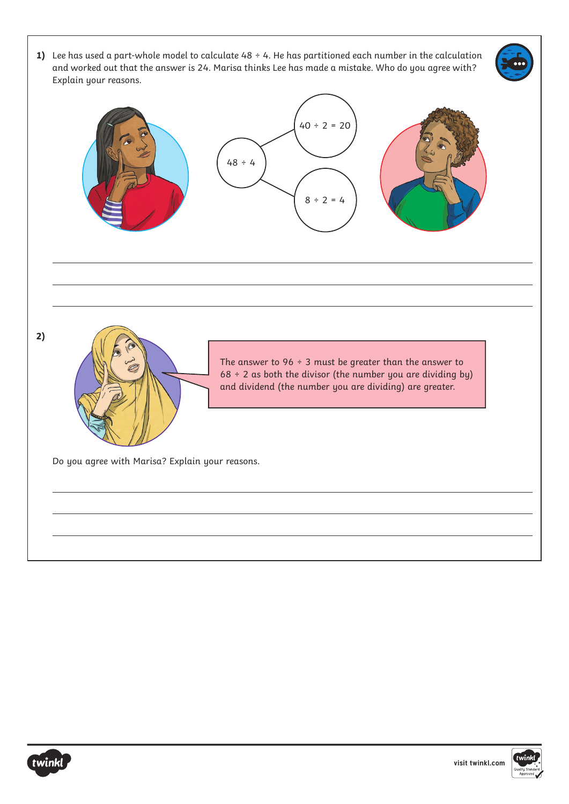1) Lee has used a part-whole model to calculate 48 ÷ 4. He has partitioned each number in the calculation and worked out that the answer is 24. Marisa thinks Lee has made a mistake. Who do you agree with? Explain your reasons.